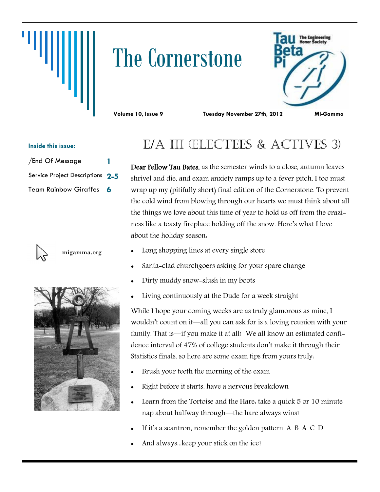# The Cornerstone



**Volume 10, Issue 9 Tuesday November 27th, 2012 MI-Gamma**

### **Inside this issue:**

| /End Of Message                  |  |
|----------------------------------|--|
| Service Project Descriptions 2-5 |  |
| Team Rainbow Giraffes 6          |  |



migamma.org



## E/A III (ELECTEES & ACTIVES 3)

Dear Fellow Tau Bates, as the semester winds to a close, autumn leaves shrivel and die, and exam anxiety ramps up to a fever pitch, I too must wrap up my (pitifully short) final edition of the Cornerstone. To prevent the cold wind from blowing through our hearts we must think about all the things we love about this time of year to hold us off from the craziness like a toasty fireplace holding off the snow. Here's what I love about the holiday season:

- Long shopping lines at every single store
- Santa-clad churchgoers asking for your spare change
- Dirty muddy snow-slush in my boots
- Living continuously at the Dude for a week straight

While I hope your coming weeks are as truly glamorous as mine, I wouldn't count on it—all you can ask for is a loving reunion with your family. That is—if you make it at all! We all know an estimated confidence interval of 47% of college students don't make it through their Statistics finals, so here are some exam tips from yours truly:

- Brush your teeth the morning of the exam
- Right before it starts, have a nervous breakdown
- Learn from the Tortoise and the Hare: take a quick 5 or 10 minute nap about halfway through—the hare always wins!
- If it's a scantron, remember the golden pattern: A-B-A-C-D
- And always...keep your stick on the ice!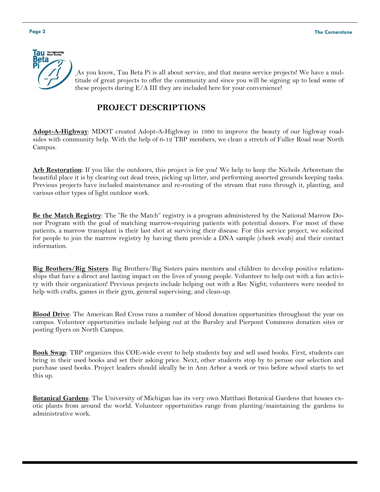

As you know, Tau Beta Pi is all about service, and that means service projects! We have a multitude of great projects to offer the community and since you will be signing up to lead some of these projects during E/A III they are included here for your convenience!

### **PROJECT DESCRIPTIONS**

**Adopt-A-Highway**: MDOT created Adopt-A-Highway in 1990 to improve the beauty of our highway roadsides with community help. With the help of 6-12 TBP members, we clean a stretch of Fuller Road near North Campus.

**Arb Restoration**: If you like the outdoors, this project is for you! We help to keep the Nichols Arboretum the beautiful place it is by clearing out dead trees, picking up litter, and performing assorted grounds keeping tasks. Previous projects have included maintenance and re-routing of the stream that runs through it, planting, and various other types of light outdoor work.

**Be the Match Registry**: The "Be the Match" registry is a program administered by the National Marrow Donor Program with the goal of matching marrow-requiring patients with potential donors. For most of these patients, a marrow transplant is their last shot at surviving their disease. For this service project, we solicited for people to join the marrow registry by having them provide a DNA sample (cheek swab) and their contact information.

**Big Brothers/Big Sisters**: Big Brothers/Big Sisters pairs mentors and children to develop positive relationships that have a direct and lasting impact on the lives of young people. Volunteer to help out with a fun activity with their organization! Previous projects include helping out with a Rec Night; volunteers were needed to help with crafts, games in their gym, general supervising, and clean-up.

**Blood Drive**: The American Red Cross runs a number of blood donation opportunities throughout the year on campus. Volunteer opportunities include helping out at the Bursley and Pierpont Commons donation sites or posting flyers on North Campus.

**Book Swap**: TBP organizes this COE-wide event to help students buy and sell used books. First, students can bring in their used books and set their asking price. Next, other students stop by to peruse our selection and purchase used books. Project leaders should ideally be in Ann Arbor a week or two before school starts to set this up.

**Botanical Gardens**: The University of Michigan has its very own Matthaei Botanical Gardens that houses exotic plants from around the world. Volunteer opportunities range from planting/maintaining the gardens to administrative work.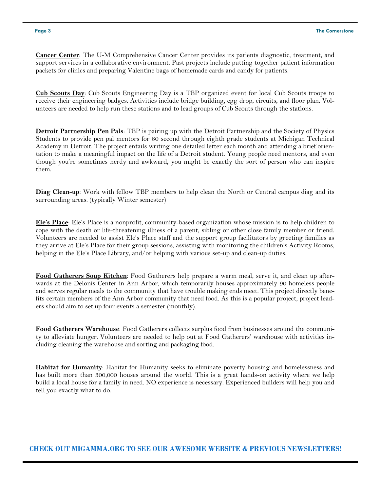**Cancer Center**: The U-M Comprehensive Cancer Center provides its patients diagnostic, treatment, and support services in a collaborative environment. Past projects include putting together patient information packets for clinics and preparing Valentine bags of homemade cards and candy for patients.

**Cub Scouts Day**: Cub Scouts Engineering Day is a TBP organized event for local Cub Scouts troops to receive their engineering badges. Activities include bridge building, egg drop, circuits, and floor plan. Volunteers are needed to help run these stations and to lead groups of Cub Scouts through the stations.

**Detroit Partnership Pen Pals**: TBP is pairing up with the Detroit Partnership and the Society of Physics Students to provide pen pal mentors for 80 second through eighth grade students at Michigan Technical Academy in Detroit. The project entails writing one detailed letter each month and attending a brief orientation to make a meaningful impact on the life of a Detroit student. Young people need mentors, and even though you're sometimes nerdy and awkward, you might be exactly the sort of person who can inspire them.

**Diag Clean-up**: Work with fellow TBP members to help clean the North or Central campus diag and its surrounding areas. (typically Winter semester)

**Ele's Place**: Ele's Place is a nonprofit, community-based organization whose mission is to help children to cope with the death or life-threatening illness of a parent, sibling or other close family member or friend. Volunteers are needed to assist Ele's Place staff and the support group facilitators by greeting families as they arrive at Ele's Place for their group sessions, assisting with monitoring the children's Activity Rooms, helping in the Ele's Place Library, and/or helping with various set-up and clean-up duties.

**Food Gatherers Soup Kitchen**: Food Gatherers help prepare a warm meal, serve it, and clean up afterwards at the Delonis Center in Ann Arbor, which temporarily houses approximately 90 homeless people and serves regular meals to the community that have trouble making ends meet. This project directly benefits certain members of the Ann Arbor community that need food. As this is a popular project, project leaders should aim to set up four events a semester (monthly).

**Food Gatherers Warehouse**: Food Gatherers collects surplus food from businesses around the community to alleviate hunger. Volunteers are needed to help out at Food Gatherers' warehouse with activities including cleaning the warehouse and sorting and packaging food.

**Habitat for Humanity**: Habitat for Humanity seeks to eliminate poverty housing and homelessness and has built more than 300,000 houses around the world. This is a great hands-on activity where we help build a local house for a family in need. NO experience is necessary. Experienced builders will help you and tell you exactly what to do.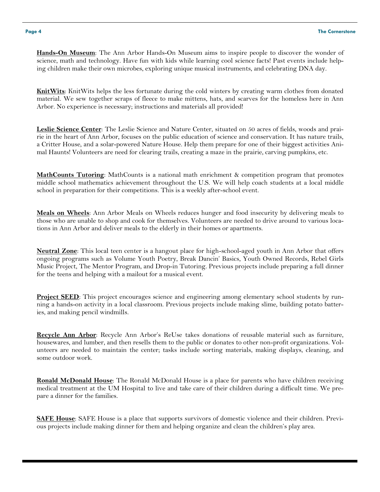**Hands-On Museum**: The Ann Arbor Hands-On Museum aims to inspire people to discover the wonder of science, math and technology. Have fun with kids while learning cool science facts! Past events include helping children make their own microbes, exploring unique musical instruments, and celebrating DNA day.

**KnitWits**: KnitWits helps the less fortunate during the cold winters by creating warm clothes from donated material. We sew together scraps of fleece to make mittens, hats, and scarves for the homeless here in Ann Arbor. No experience is necessary; instructions and materials all provided!

**Leslie Science Center**: The Leslie Science and Nature Center, situated on 50 acres of fields, woods and prairie in the heart of Ann Arbor, focuses on the public education of science and conservation. It has nature trails, a Critter House, and a solar-powered Nature House. Help them prepare for one of their biggest activities Animal Haunts! Volunteers are need for clearing trails, creating a maze in the prairie, carving pumpkins, etc.

**MathCounts Tutoring**: MathCounts is a national math enrichment & competition program that promotes middle school mathematics achievement throughout the U.S. We will help coach students at a local middle school in preparation for their competitions. This is a weekly after-school event.

**Meals on Wheels**: Ann Arbor Meals on Wheels reduces hunger and food insecurity by delivering meals to those who are unable to shop and cook for themselves. Volunteers are needed to drive around to various locations in Ann Arbor and deliver meals to the elderly in their homes or apartments.

**Neutral Zone**: This local teen center is a hangout place for high-school-aged youth in Ann Arbor that offers ongoing programs such as Volume Youth Poetry, Break Dancin' Basics, Youth Owned Records, Rebel Girls Music Project, The Mentor Program, and Drop-in Tutoring. Previous projects include preparing a full dinner for the teens and helping with a mailout for a musical event.

**Project SEED**: This project encourages science and engineering among elementary school students by running a hands-on activity in a local classroom. Previous projects include making slime, building potato batteries, and making pencil windmills.

**Recycle Ann Arbor**: Recycle Ann Arbor's ReUse takes donations of reusable material such as furniture, housewares, and lumber, and then resells them to the public or donates to other non-profit organizations. Volunteers are needed to maintain the center; tasks include sorting materials, making displays, cleaning, and some outdoor work.

**Ronald McDonald House**: The Ronald McDonald House is a place for parents who have children receiving medical treatment at the UM Hospital to live and take care of their children during a difficult time. We prepare a dinner for the families.

**SAFE House**: SAFE House is a place that supports survivors of domestic violence and their children. Previous projects include making dinner for them and helping organize and clean the children's play area.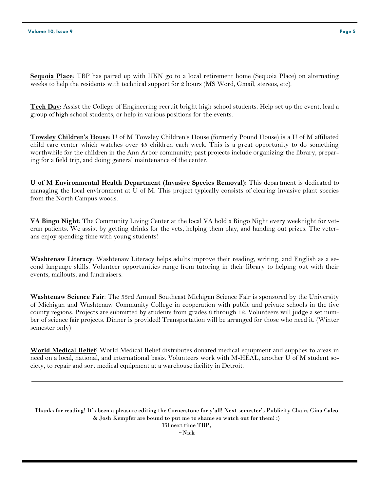**Sequoia Place**: TBP has paired up with HKN go to a local retirement home (Sequoia Place) on alternating weeks to help the residents with technical support for 2 hours (MS Word, Gmail, stereos, etc).

**Tech Day**: Assist the College of Engineering recruit bright high school students. Help set up the event, lead a group of high school students, or help in various positions for the events.

**Towsley Children's House**: U of M Towsley Children's House (formerly Pound House) is a U of M affiliated child care center which watches over 45 children each week. This is a great opportunity to do something worthwhile for the children in the Ann Arbor community; past projects include organizing the library, preparing for a field trip, and doing general maintenance of the center.

**U of M Environmental Health Department (Invasive Species Removal)**: This department is dedicated to managing the local environment at U of M. This project typically consists of clearing invasive plant species from the North Campus woods.

**VA Bingo Night**: The Community Living Center at the local VA hold a Bingo Night every weeknight for veteran patients. We assist by getting drinks for the vets, helping them play, and handing out prizes. The veterans enjoy spending time with young students!

**Washtenaw Literacy**: Washtenaw Literacy helps adults improve their reading, writing, and English as a second language skills. Volunteer opportunities range from tutoring in their library to helping out with their events, mailouts, and fundraisers.

**Washtenaw Science Fair**: The 53rd Annual Southeast Michigan Science Fair is sponsored by the University of Michigan and Washtenaw Community College in cooperation with public and private schools in the five county regions. Projects are submitted by students from grades 6 through 12. Volunteers will judge a set number of science fair projects. Dinner is provided! Transportation will be arranged for those who need it. (Winter semester only)

**World Medical Relief**: World Medical Relief distributes donated medical equipment and supplies to areas in need on a local, national, and international basis. Volunteers work with M-HEAL, another U of M student society, to repair and sort medical equipment at a warehouse facility in Detroit.

Thanks for reading! It's been a pleasure editing the Cornerstone for y'all! Next semester's Publicity Chairs Gina Calco & Josh Kempfer are bound to put me to shame so watch out for them! :) Til next time TBP,  $\sim$ Nick